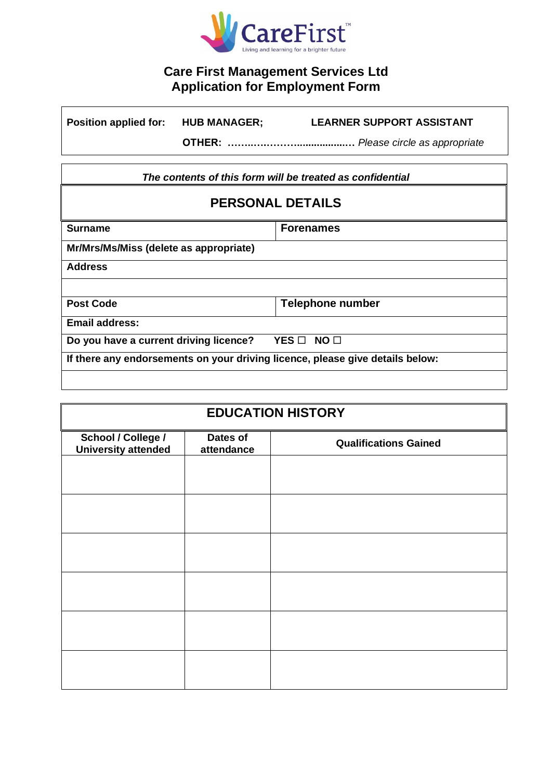

# **Care First Management Services Ltd Application for Employment Form**

| <b>Position applied for:</b> | <b>HUB MANAGER;</b> | <b>LEARNER SUPPORT ASSISTANT</b> |
|------------------------------|---------------------|----------------------------------|
|                              |                     |                                  |

*The contents of this form will be treated as confidential*

| <b>Surname</b>                                                                | <b>Forenames</b>         |
|-------------------------------------------------------------------------------|--------------------------|
| Mr/Mrs/Ms/Miss (delete as appropriate)                                        |                          |
| <b>Address</b>                                                                |                          |
|                                                                               |                          |
| <b>Post Code</b>                                                              | <b>Telephone number</b>  |
| <b>Email address:</b>                                                         |                          |
| Do you have a current driving licence?                                        | YES □<br>NO <sub>1</sub> |
| If there any endorsements on your driving licence, please give details below: |                          |
|                                                                               |                          |

| <b>EDUCATION HISTORY</b>                         |                        |                              |  |
|--------------------------------------------------|------------------------|------------------------------|--|
| School / College /<br><b>University attended</b> | Dates of<br>attendance | <b>Qualifications Gained</b> |  |
|                                                  |                        |                              |  |
|                                                  |                        |                              |  |
|                                                  |                        |                              |  |
|                                                  |                        |                              |  |
|                                                  |                        |                              |  |
|                                                  |                        |                              |  |
|                                                  |                        |                              |  |
|                                                  |                        |                              |  |
|                                                  |                        |                              |  |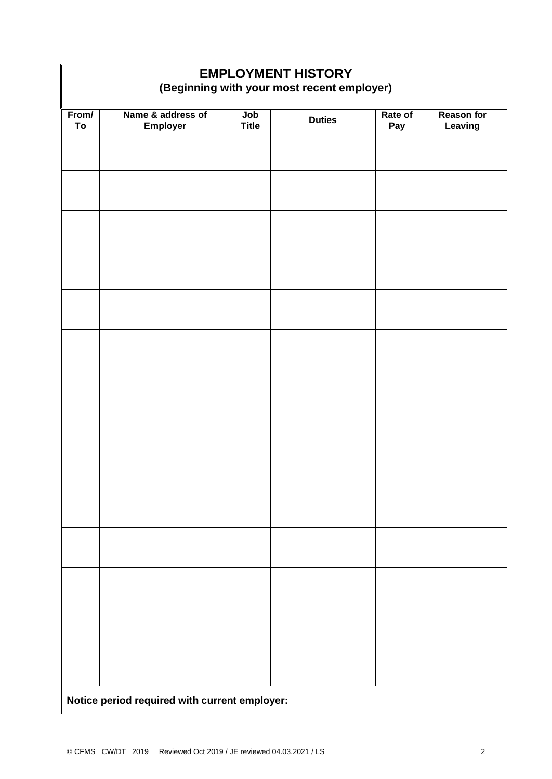| <b>EMPLOYMENT HISTORY</b><br>(Beginning with your most recent employer) |                   |              |               |         |                   |
|-------------------------------------------------------------------------|-------------------|--------------|---------------|---------|-------------------|
| From/                                                                   | Name & address of | Job          | <b>Duties</b> | Rate of | <b>Reason for</b> |
| To                                                                      | <b>Employer</b>   | <b>Title</b> |               | Pay     | Leaving           |
|                                                                         |                   |              |               |         |                   |
|                                                                         |                   |              |               |         |                   |
|                                                                         |                   |              |               |         |                   |
|                                                                         |                   |              |               |         |                   |
|                                                                         |                   |              |               |         |                   |
|                                                                         |                   |              |               |         |                   |
|                                                                         |                   |              |               |         |                   |
|                                                                         |                   |              |               |         |                   |
|                                                                         |                   |              |               |         |                   |
|                                                                         |                   |              |               |         |                   |
|                                                                         |                   |              |               |         |                   |
|                                                                         |                   |              |               |         |                   |
|                                                                         |                   |              |               |         |                   |
|                                                                         |                   |              |               |         |                   |
| Notice period required with current employer:                           |                   |              |               |         |                   |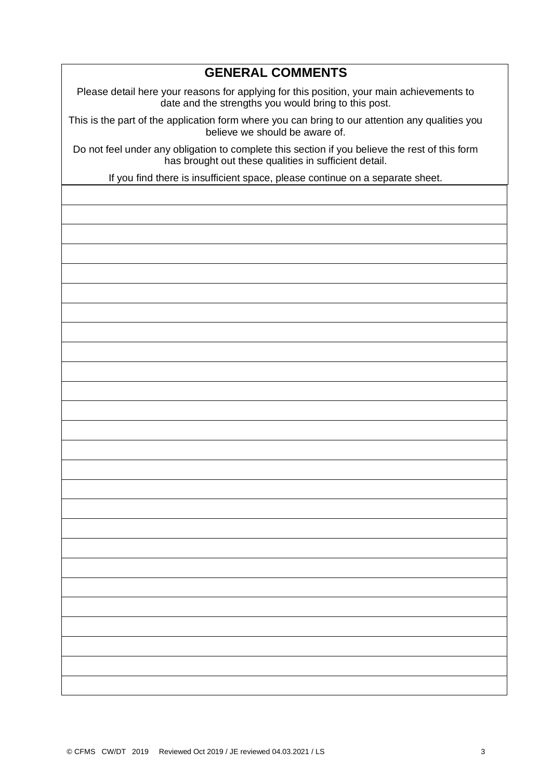### **GENERAL COMMENTS**

Please detail here your reasons for applying for this position, your main achievements to date and the strengths you would bring to this post.

This is the part of the application form where you can bring to our attention any qualities you believe we should be aware of.

Do not feel under any obligation to complete this section if you believe the rest of this form has brought out these qualities in sufficient detail.

If you find there is insufficient space, please continue on a separate sheet.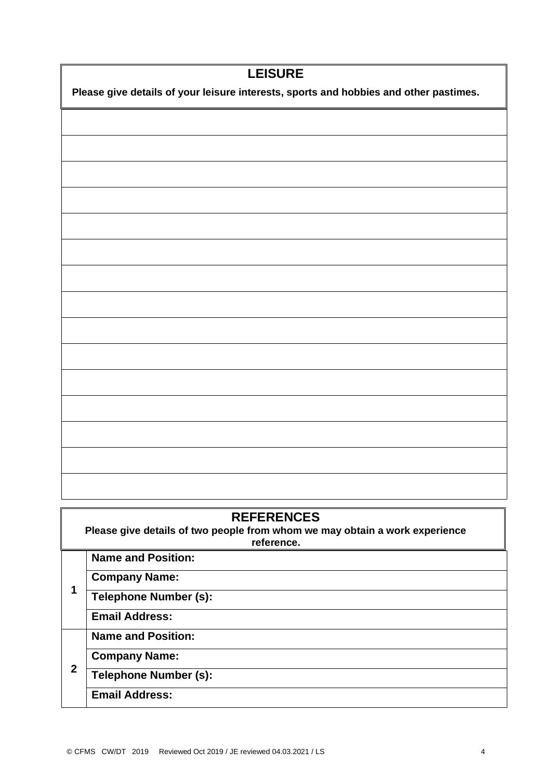| <b>LEISURE</b>                                                                        |  |  |
|---------------------------------------------------------------------------------------|--|--|
| Please give details of your leisure interests, sports and hobbies and other pastimes. |  |  |
|                                                                                       |  |  |
|                                                                                       |  |  |
|                                                                                       |  |  |
|                                                                                       |  |  |
|                                                                                       |  |  |
|                                                                                       |  |  |
|                                                                                       |  |  |
|                                                                                       |  |  |
|                                                                                       |  |  |
|                                                                                       |  |  |
|                                                                                       |  |  |
|                                                                                       |  |  |
|                                                                                       |  |  |
|                                                                                       |  |  |
|                                                                                       |  |  |
|                                                                                       |  |  |

| <b>REFERENCES</b><br>Please give details of two people from whom we may obtain a work experience<br>reference. |                              |  |  |
|----------------------------------------------------------------------------------------------------------------|------------------------------|--|--|
|                                                                                                                | <b>Name and Position:</b>    |  |  |
| 1                                                                                                              | <b>Company Name:</b>         |  |  |
|                                                                                                                | <b>Telephone Number (s):</b> |  |  |
|                                                                                                                | <b>Email Address:</b>        |  |  |
|                                                                                                                | <b>Name and Position:</b>    |  |  |
| $\mathbf 2$                                                                                                    | <b>Company Name:</b>         |  |  |
|                                                                                                                | <b>Telephone Number (s):</b> |  |  |
|                                                                                                                | <b>Email Address:</b>        |  |  |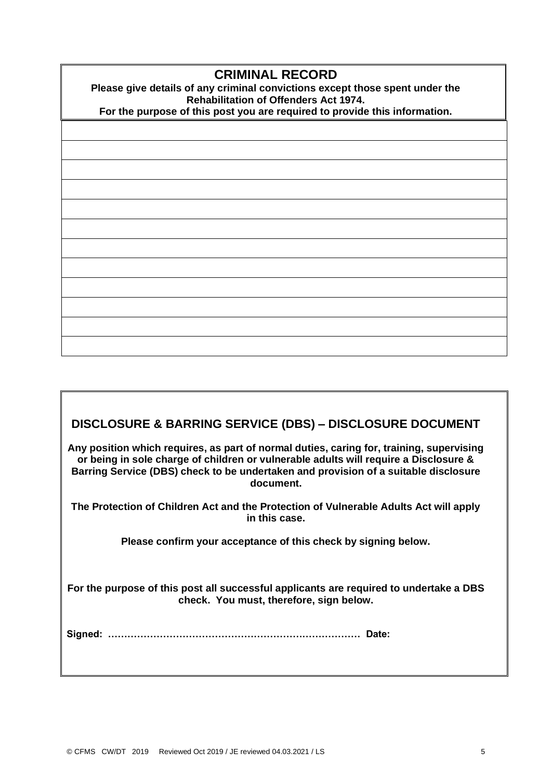## **CRIMINAL RECORD**

**Please give details of any criminal convictions except those spent under the Rehabilitation of Offenders Act 1974.** 

**For the purpose of this post you are required to provide this information.**

# **DISCLOSURE & BARRING SERVICE (DBS) – DISCLOSURE DOCUMENT**

**Any position which requires, as part of normal duties, caring for, training, supervising or being in sole charge of children or vulnerable adults will require a Disclosure & Barring Service (DBS) check to be undertaken and provision of a suitable disclosure document.**

**The Protection of Children Act and the Protection of Vulnerable Adults Act will apply in this case.**

**Please confirm your acceptance of this check by signing below.**

**For the purpose of this post all successful applicants are required to undertake a DBS check. You must, therefore, sign below.**

**Signed: …………………………………………………………………… Date:**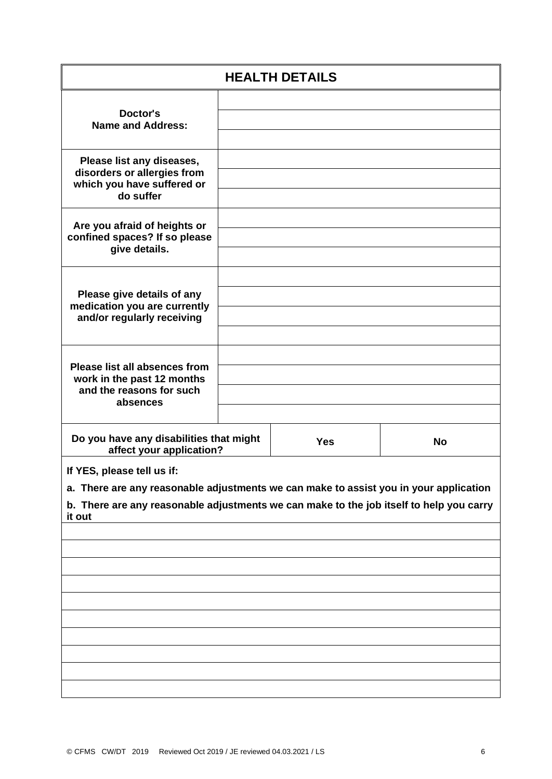| <b>HEALTH DETAILS</b>                                                                                                                                                                                                    |  |            |           |
|--------------------------------------------------------------------------------------------------------------------------------------------------------------------------------------------------------------------------|--|------------|-----------|
| Doctor's<br><b>Name and Address:</b>                                                                                                                                                                                     |  |            |           |
| Please list any diseases,<br>disorders or allergies from<br>which you have suffered or<br>do suffer                                                                                                                      |  |            |           |
| Are you afraid of heights or<br>confined spaces? If so please<br>give details.                                                                                                                                           |  |            |           |
| Please give details of any<br>medication you are currently<br>and/or regularly receiving                                                                                                                                 |  |            |           |
| <b>Please list all absences from</b><br>work in the past 12 months<br>and the reasons for such<br>absences                                                                                                               |  |            |           |
| Do you have any disabilities that might<br>affect your application?                                                                                                                                                      |  | <b>Yes</b> | <b>No</b> |
| If YES, please tell us if:<br>a. There are any reasonable adjustments we can make to assist you in your application<br>b. There are any reasonable adjustments we can make to the job itself to help you carry<br>it out |  |            |           |
|                                                                                                                                                                                                                          |  |            |           |
|                                                                                                                                                                                                                          |  |            |           |
|                                                                                                                                                                                                                          |  |            |           |
|                                                                                                                                                                                                                          |  |            |           |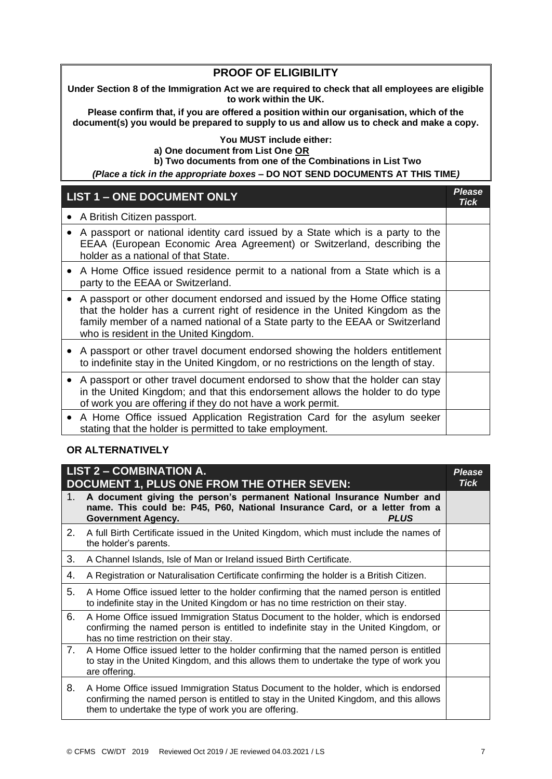#### **PROOF OF ELIGIBILITY**

**Under Section 8 of the Immigration Act we are required to check that all employees are eligible to work within the UK.**

**Please confirm that, if you are offered a position within our organisation, which of the document(s) you would be prepared to supply to us and allow us to check and make a copy.**

#### **You MUST include either: a) One document from List One OR b) Two documents from one of the Combinations in List Two**

*(Place a tick in the appropriate boxes –* **DO NOT SEND DOCUMENTS AT THIS TIME***)*

|           | <b>LIST 1 - ONE DOCUMENT ONLY</b>                                                                                                                                                                                                                                                       | <b>Please</b><br>Tick |
|-----------|-----------------------------------------------------------------------------------------------------------------------------------------------------------------------------------------------------------------------------------------------------------------------------------------|-----------------------|
|           | A British Citizen passport.                                                                                                                                                                                                                                                             |                       |
|           | A passport or national identity card issued by a State which is a party to the<br>EEAA (European Economic Area Agreement) or Switzerland, describing the<br>holder as a national of that State.                                                                                         |                       |
| $\bullet$ | A Home Office issued residence permit to a national from a State which is a<br>party to the EEAA or Switzerland.                                                                                                                                                                        |                       |
|           | A passport or other document endorsed and issued by the Home Office stating<br>that the holder has a current right of residence in the United Kingdom as the<br>family member of a named national of a State party to the EEAA or Switzerland<br>who is resident in the United Kingdom. |                       |
|           | A passport or other travel document endorsed showing the holders entitlement<br>to indefinite stay in the United Kingdom, or no restrictions on the length of stay.                                                                                                                     |                       |
| $\bullet$ | A passport or other travel document endorsed to show that the holder can stay<br>in the United Kingdom; and that this endorsement allows the holder to do type<br>of work you are offering if they do not have a work permit.                                                           |                       |
|           | A Home Office issued Application Registration Card for the asylum seeker<br>stating that the holder is permitted to take employment.                                                                                                                                                    |                       |

#### **OR ALTERNATIVELY**

| <b>LIST 2 - COMBINATION A.</b><br><b>DOCUMENT 1, PLUS ONE FROM THE OTHER SEVEN:</b> |                                                                                                                                                                                                                                     | <b>Please</b><br>Tick |
|-------------------------------------------------------------------------------------|-------------------------------------------------------------------------------------------------------------------------------------------------------------------------------------------------------------------------------------|-----------------------|
| 1.                                                                                  | A document giving the person's permanent National Insurance Number and<br>name. This could be: P45, P60, National Insurance Card, or a letter from a<br><b>PLUS</b><br><b>Government Agency.</b>                                    |                       |
| 2.                                                                                  | A full Birth Certificate issued in the United Kingdom, which must include the names of<br>the holder's parents.                                                                                                                     |                       |
| 3.                                                                                  | A Channel Islands, Isle of Man or Ireland issued Birth Certificate.                                                                                                                                                                 |                       |
| 4.                                                                                  | A Registration or Naturalisation Certificate confirming the holder is a British Citizen.                                                                                                                                            |                       |
| 5.                                                                                  | A Home Office issued letter to the holder confirming that the named person is entitled<br>to indefinite stay in the United Kingdom or has no time restriction on their stay.                                                        |                       |
| 6.                                                                                  | A Home Office issued Immigration Status Document to the holder, which is endorsed<br>confirming the named person is entitled to indefinite stay in the United Kingdom, or<br>has no time restriction on their stay.                 |                       |
| 7.                                                                                  | A Home Office issued letter to the holder confirming that the named person is entitled<br>to stay in the United Kingdom, and this allows them to undertake the type of work you<br>are offering.                                    |                       |
| 8.                                                                                  | A Home Office issued Immigration Status Document to the holder, which is endorsed<br>confirming the named person is entitled to stay in the United Kingdom, and this allows<br>them to undertake the type of work you are offering. |                       |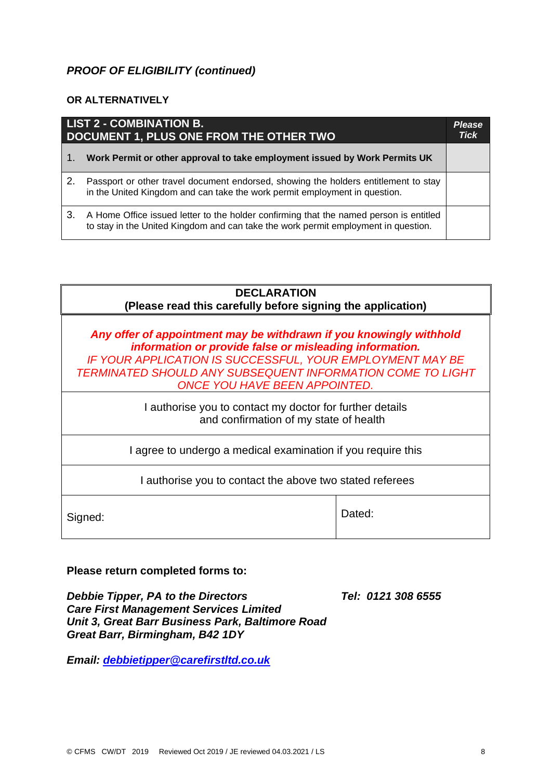### *PROOF OF ELIGIBILITY (continued)*

#### **OR ALTERNATIVELY**

| LIST 2 - COMBINATION B.<br>DOCUMENT 1, PLUS ONE FROM THE OTHER TWO |                                                                                                                                                                              | <b>Please</b><br><b>Tick</b> |
|--------------------------------------------------------------------|------------------------------------------------------------------------------------------------------------------------------------------------------------------------------|------------------------------|
| l 1.                                                               | Work Permit or other approval to take employment issued by Work Permits UK                                                                                                   |                              |
| 2.                                                                 | Passport or other travel document endorsed, showing the holders entitlement to stay<br>in the United Kingdom and can take the work permit employment in question.            |                              |
| З.                                                                 | A Home Office issued letter to the holder confirming that the named person is entitled<br>to stay in the United Kingdom and can take the work permit employment in question. |                              |

| <b>DECLARATION</b><br>(Please read this carefully before signing the application)                                                                                                                                                                                                                        |  |  |
|----------------------------------------------------------------------------------------------------------------------------------------------------------------------------------------------------------------------------------------------------------------------------------------------------------|--|--|
| Any offer of appointment may be withdrawn if you knowingly withhold<br>information or provide false or misleading information.<br>IF YOUR APPLICATION IS SUCCESSFUL, YOUR EMPLOYMENT MAY BE<br><b>TERMINATED SHOULD ANY SUBSEQUENT INFORMATION COME TO LIGHT</b><br><b>ONCE YOU HAVE BEEN APPOINTED.</b> |  |  |
| I authorise you to contact my doctor for further details<br>and confirmation of my state of health                                                                                                                                                                                                       |  |  |
| I agree to undergo a medical examination if you require this                                                                                                                                                                                                                                             |  |  |
| I authorise you to contact the above two stated referees                                                                                                                                                                                                                                                 |  |  |
| Dated:<br>Signed:                                                                                                                                                                                                                                                                                        |  |  |

**Please return completed forms to:**

*Debbie Tipper, PA to the Directors Tel: 0121 308 6555 Care First Management Services Limited Unit 3, Great Barr Business Park, Baltimore Road Great Barr, Birmingham, B42 1DY*

*Email: [debbietipper@carefirstltd.co.uk](mailto:debbietipper@carefirstltd.co.uk)*